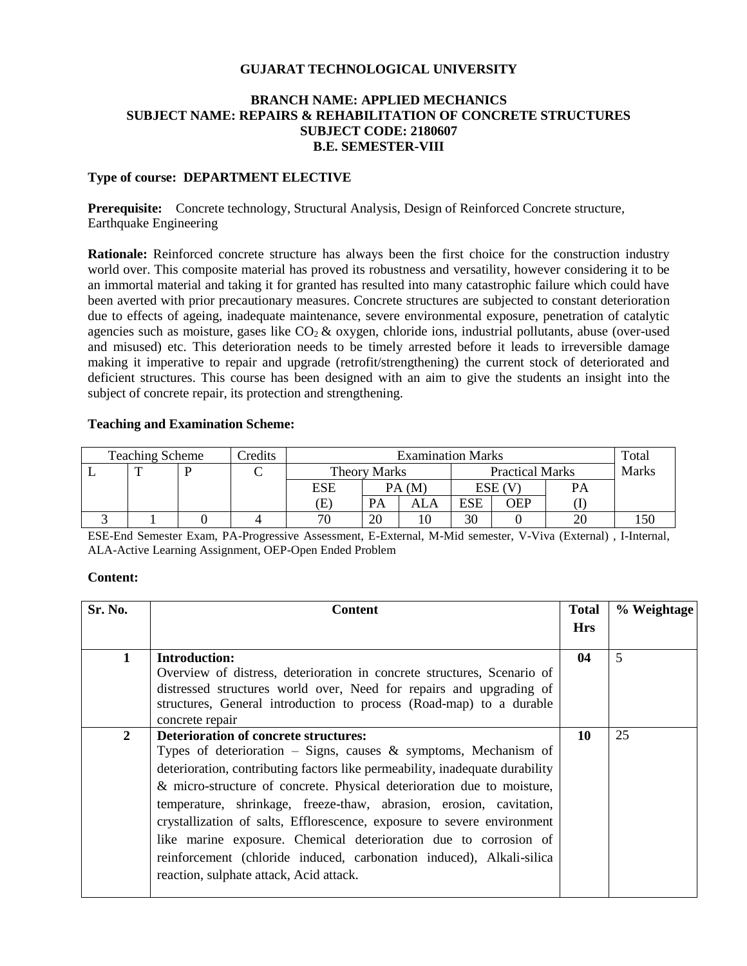#### **GUJARAT TECHNOLOGICAL UNIVERSITY**

#### **BRANCH NAME: APPLIED MECHANICS SUBJECT NAME: REPAIRS & REHABILITATION OF CONCRETE STRUCTURES SUBJECT CODE: 2180607 B.E. SEMESTER-VIII**

#### **Type of course: DEPARTMENT ELECTIVE**

**Prerequisite:** Concrete technology, Structural Analysis, Design of Reinforced Concrete structure, Earthquake Engineering

**Rationale:** Reinforced concrete structure has always been the first choice for the construction industry world over. This composite material has proved its robustness and versatility, however considering it to be an immortal material and taking it for granted has resulted into many catastrophic failure which could have been averted with prior precautionary measures. Concrete structures are subjected to constant deterioration due to effects of ageing, inadequate maintenance, severe environmental exposure, penetration of catalytic agencies such as moisture, gases like  $CO<sub>2</sub>$  & oxygen, chloride ions, industrial pollutants, abuse (over-used and misused) etc. This deterioration needs to be timely arrested before it leads to irreversible damage making it imperative to repair and upgrade (retrofit/strengthening) the current stock of deteriorated and deficient structures. This course has been designed with an aim to give the students an insight into the subject of concrete repair, its protection and strengthening.

#### **Teaching and Examination Scheme:**

| <b>Teaching Scheme</b> |  |  | Credits | <b>Examination Marks</b> |       |                        |            | Total |       |  |
|------------------------|--|--|---------|--------------------------|-------|------------------------|------------|-------|-------|--|
|                        |  |  |         | <b>Theory Marks</b>      |       | <b>Practical Marks</b> |            |       | Marks |  |
|                        |  |  |         | ESE                      | PA(M) |                        | ESE (V     |       |       |  |
|                        |  |  |         | Œ                        | PA    |                        | <b>ESE</b> | OEP   |       |  |
|                        |  |  |         | 70                       | 20    |                        | 30         |       | 20    |  |

ESE-End Semester Exam, PA-Progressive Assessment, E-External, M-Mid semester, V-Viva (External) , I-Internal, ALA-Active Learning Assignment, OEP-Open Ended Problem

#### **Content:**

| Sr. No.        | <b>Content</b>                                                               |            | % Weightage |
|----------------|------------------------------------------------------------------------------|------------|-------------|
|                |                                                                              | <b>Hrs</b> |             |
| 1              | <b>Introduction:</b>                                                         | 04         | 5           |
|                | Overview of distress, deterioration in concrete structures, Scenario of      |            |             |
|                | distressed structures world over, Need for repairs and upgrading of          |            |             |
|                | structures, General introduction to process (Road-map) to a durable          |            |             |
|                | concrete repair                                                              |            |             |
| $\overline{2}$ | <b>Deterioration of concrete structures:</b>                                 | 10         | 25          |
|                | Types of deterioration – Signs, causes $\&$ symptoms, Mechanism of           |            |             |
|                | deterioration, contributing factors like permeability, inadequate durability |            |             |
|                | & micro-structure of concrete. Physical deterioration due to moisture,       |            |             |
|                | temperature, shrinkage, freeze-thaw, abrasion, erosion, cavitation,          |            |             |
|                | crystallization of salts, Efflorescence, exposure to severe environment      |            |             |
|                | like marine exposure. Chemical deterioration due to corrosion of             |            |             |
|                | reinforcement (chloride induced, carbonation induced), Alkali-silica         |            |             |
|                | reaction, sulphate attack, Acid attack.                                      |            |             |
|                |                                                                              |            |             |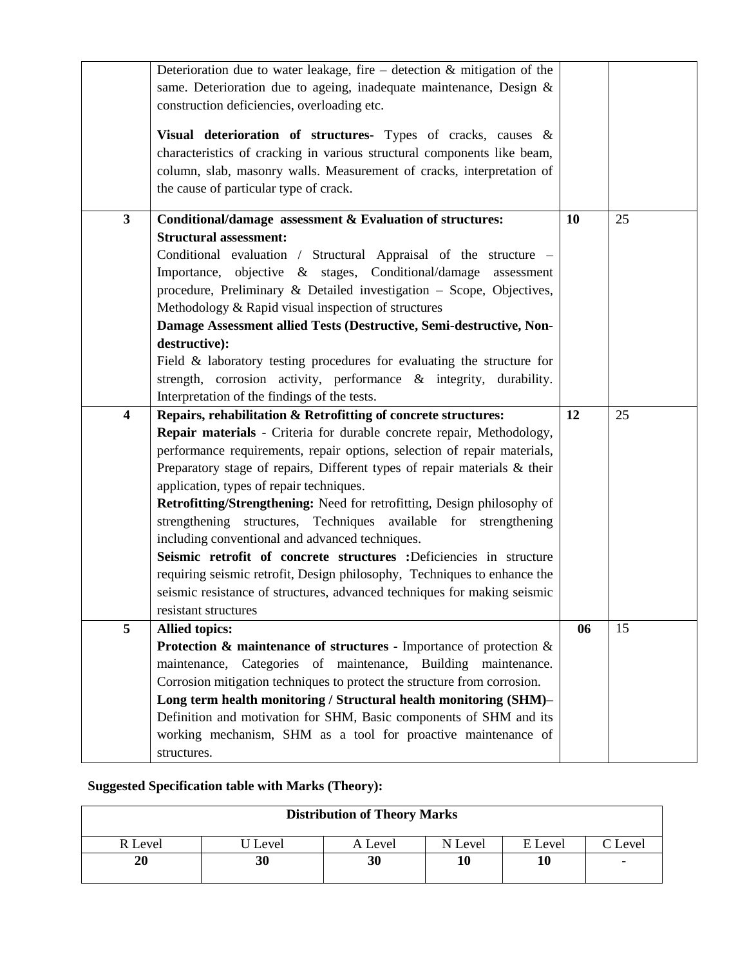|                         | Deterioration due to water leakage, fire – detection $\&$ mitigation of the                      |    |    |
|-------------------------|--------------------------------------------------------------------------------------------------|----|----|
|                         | same. Deterioration due to ageing, inadequate maintenance, Design &                              |    |    |
|                         | construction deficiencies, overloading etc.                                                      |    |    |
|                         |                                                                                                  |    |    |
|                         | Visual deterioration of structures- Types of cracks, causes &                                    |    |    |
|                         | characteristics of cracking in various structural components like beam,                          |    |    |
|                         | column, slab, masonry walls. Measurement of cracks, interpretation of                            |    |    |
|                         | the cause of particular type of crack.                                                           |    |    |
|                         |                                                                                                  |    |    |
| $\mathbf{3}$            | Conditional/damage assessment & Evaluation of structures:                                        | 10 | 25 |
|                         | <b>Structural assessment:</b>                                                                    |    |    |
|                         | Conditional evaluation / Structural Appraisal of the structure -                                 |    |    |
|                         | Importance, objective & stages, Conditional/damage assessment                                    |    |    |
|                         | procedure, Preliminary & Detailed investigation - Scope, Objectives,                             |    |    |
|                         | Methodology & Rapid visual inspection of structures                                              |    |    |
|                         | Damage Assessment allied Tests (Destructive, Semi-destructive, Non-                              |    |    |
|                         | destructive):                                                                                    |    |    |
|                         | Field $\&$ laboratory testing procedures for evaluating the structure for                        |    |    |
|                         | strength, corrosion activity, performance $\&$ integrity, durability.                            |    |    |
|                         | Interpretation of the findings of the tests.                                                     |    |    |
| $\overline{\mathbf{4}}$ | Repairs, rehabilitation & Retrofitting of concrete structures:                                   | 12 | 25 |
|                         | Repair materials - Criteria for durable concrete repair, Methodology,                            |    |    |
|                         | performance requirements, repair options, selection of repair materials,                         |    |    |
|                         | Preparatory stage of repairs, Different types of repair materials $\&$ their                     |    |    |
|                         | application, types of repair techniques.                                                         |    |    |
|                         | Retrofitting/Strengthening: Need for retrofitting, Design philosophy of                          |    |    |
|                         | strengthening structures, Techniques available for strengthening                                 |    |    |
|                         | including conventional and advanced techniques.                                                  |    |    |
|                         | Seismic retrofit of concrete structures :Deficiencies in structure                               |    |    |
|                         | requiring seismic retrofit, Design philosophy, Techniques to enhance the                         |    |    |
|                         | seismic resistance of structures, advanced techniques for making seismic                         |    |    |
|                         | resistant structures                                                                             |    |    |
| 5                       | <b>Allied topics:</b>                                                                            | 06 | 15 |
|                         | <b>Protection &amp; maintenance of structures - Importance of protection <math>\&amp;</math></b> |    |    |
|                         | maintenance, Categories of maintenance, Building maintenance.                                    |    |    |
|                         | Corrosion mitigation techniques to protect the structure from corrosion.                         |    |    |
|                         | Long term health monitoring / Structural health monitoring (SHM)-                                |    |    |
|                         | Definition and motivation for SHM, Basic components of SHM and its                               |    |    |
|                         | working mechanism, SHM as a tool for proactive maintenance of                                    |    |    |
|                         |                                                                                                  |    |    |
|                         | structures.                                                                                      |    |    |

# **Suggested Specification table with Marks (Theory):**

| <b>Distribution of Theory Marks</b> |       |         |         |         |         |  |  |
|-------------------------------------|-------|---------|---------|---------|---------|--|--|
| R Level                             | Level | A Level | N Level | E Level | C Level |  |  |
| 20                                  | 30    | 30      | 10      | 10      |         |  |  |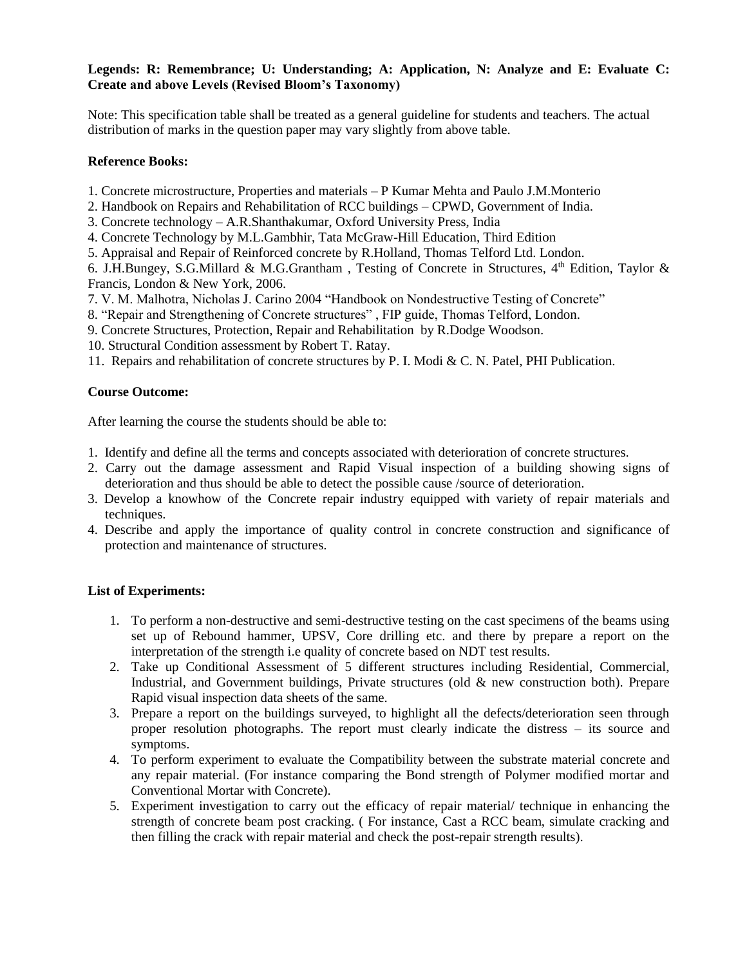#### **Legends: R: Remembrance; U: Understanding; A: Application, N: Analyze and E: Evaluate C: Create and above Levels (Revised Bloom's Taxonomy)**

Note: This specification table shall be treated as a general guideline for students and teachers. The actual distribution of marks in the question paper may vary slightly from above table.

### **Reference Books:**

1. Concrete microstructure, Properties and materials – P Kumar Mehta and Paulo J.M.Monterio

2. Handbook on Repairs and Rehabilitation of RCC buildings – CPWD, Government of India.

3. Concrete technology – A.R.Shanthakumar, Oxford University Press, India

- 4. Concrete Technology by M.L.Gambhir, Tata McGraw-Hill Education, Third Edition
- 5. Appraisal and Repair of Reinforced concrete by R.Holland, Thomas Telford Ltd. London.

6. J.H.Bungey, S.G.Millard & M.G.Grantham, Testing of Concrete in Structures, 4<sup>th</sup> Edition, Taylor & Francis, London & New York, 2006.

- 7. V. M. Malhotra, Nicholas J. Carino 2004 "Handbook on Nondestructive Testing of Concrete"
- 8. "Repair and Strengthening of Concrete structures" , FIP guide, Thomas Telford, London.
- 9. Concrete Structures, Protection, Repair and Rehabilitation by R.Dodge Woodson.

10. Structural Condition assessment by Robert T. Ratay.

11. Repairs and rehabilitation of concrete structures by P. I. Modi & C. N. Patel, PHI Publication.

### **Course Outcome:**

After learning the course the students should be able to:

- 1. Identify and define all the terms and concepts associated with deterioration of concrete structures.
- 2. Carry out the damage assessment and Rapid Visual inspection of a building showing signs of deterioration and thus should be able to detect the possible cause /source of deterioration.
- 3. Develop a knowhow of the Concrete repair industry equipped with variety of repair materials and techniques.
- 4. Describe and apply the importance of quality control in concrete construction and significance of protection and maintenance of structures.

## **List of Experiments:**

- 1. To perform a non-destructive and semi-destructive testing on the cast specimens of the beams using set up of Rebound hammer, UPSV, Core drilling etc. and there by prepare a report on the interpretation of the strength i.e quality of concrete based on NDT test results.
- 2. Take up Conditional Assessment of 5 different structures including Residential, Commercial, Industrial, and Government buildings, Private structures (old & new construction both). Prepare Rapid visual inspection data sheets of the same.
- 3. Prepare a report on the buildings surveyed, to highlight all the defects/deterioration seen through proper resolution photographs. The report must clearly indicate the distress – its source and symptoms.
- 4. To perform experiment to evaluate the Compatibility between the substrate material concrete and any repair material. (For instance comparing the Bond strength of Polymer modified mortar and Conventional Mortar with Concrete).
- 5. Experiment investigation to carry out the efficacy of repair material/ technique in enhancing the strength of concrete beam post cracking. ( For instance, Cast a RCC beam, simulate cracking and then filling the crack with repair material and check the post-repair strength results).